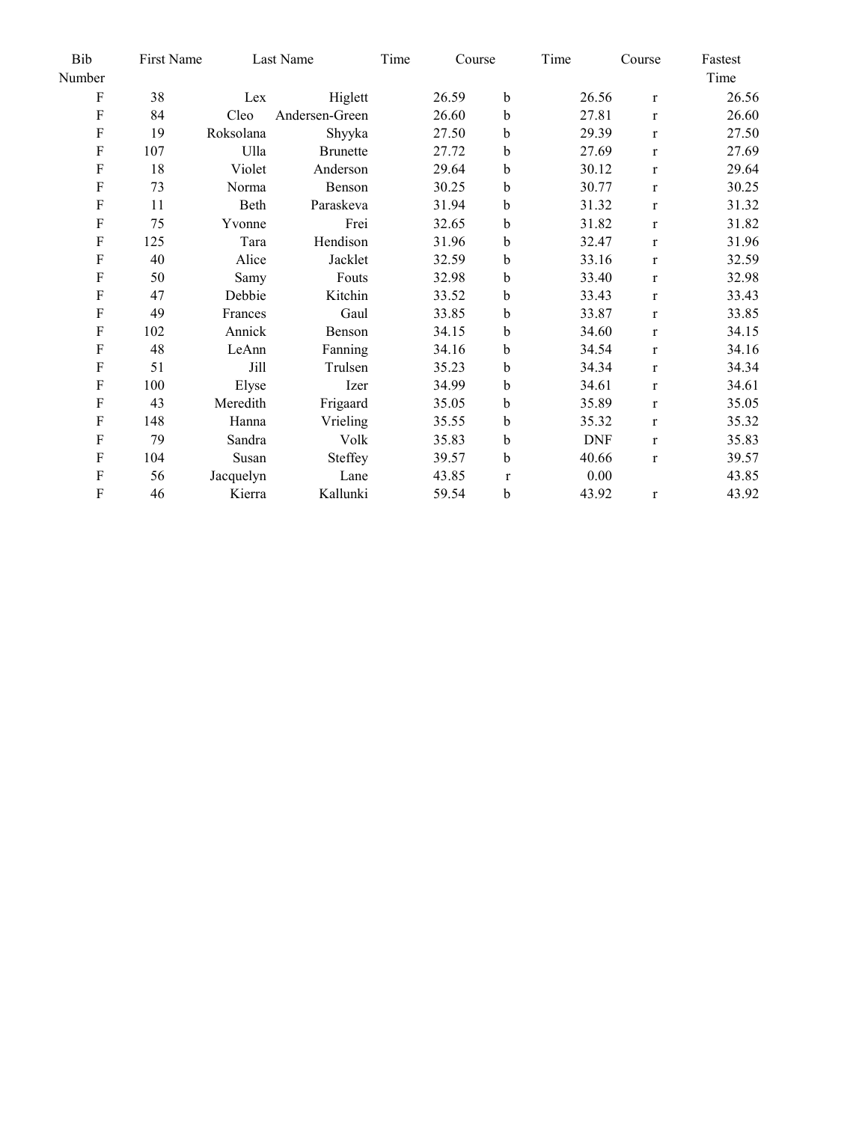| Bib<br>First Name |     |           | Last Name       |  | Course |              | Time       | Course       | Fastest |
|-------------------|-----|-----------|-----------------|--|--------|--------------|------------|--------------|---------|
| Number            |     |           |                 |  |        |              |            |              | Time    |
| ${\bf F}$         | 38  | Lex       | Higlett         |  | 26.59  | $\mathbf b$  | 26.56      | $\bf r$      | 26.56   |
| $\mathbf F$       | 84  | Cleo      | Andersen-Green  |  | 26.60  | b            | 27.81      | $\mathbf{r}$ | 26.60   |
| $\mathbf F$       | 19  | Roksolana | Shyyka          |  | 27.50  | b            | 29.39      | $\mathbf{r}$ | 27.50   |
| $\mathbf F$       | 107 | Ulla      | <b>Brunette</b> |  | 27.72  | b            | 27.69      | $\mathbf{r}$ | 27.69   |
| $\mathbf F$       | 18  | Violet    | Anderson        |  | 29.64  | b            | 30.12      | $\mathbf{r}$ | 29.64   |
| $\mathbf F$       | 73  | Norma     | Benson          |  | 30.25  | b            | 30.77      | $\mathbf{r}$ | 30.25   |
| $\mathbf F$       | 11  | Beth      | Paraskeva       |  | 31.94  | b            | 31.32      | $\mathbf{r}$ | 31.32   |
| $\mathbf F$       | 75  | Yvonne    | Frei            |  | 32.65  | b            | 31.82      | $\mathbf{r}$ | 31.82   |
| ${\bf F}$         | 125 | Tara      | Hendison        |  | 31.96  | b            | 32.47      | $\mathbf{r}$ | 31.96   |
| ${\bf F}$         | 40  | Alice     | Jacklet         |  | 32.59  | b            | 33.16      | $\mathbf{r}$ | 32.59   |
| ${\bf F}$         | 50  | Samy      | Fouts           |  | 32.98  | b            | 33.40      | $\mathbf{r}$ | 32.98   |
| $\mathbf F$       | 47  | Debbie    | Kitchin         |  | 33.52  | b            | 33.43      | $\mathbf{r}$ | 33.43   |
| $\mathbf F$       | 49  | Frances   | Gaul            |  | 33.85  | b            | 33.87      | $\mathbf{r}$ | 33.85   |
| ${\bf F}$         | 102 | Annick    | Benson          |  | 34.15  | b            | 34.60      | $\mathbf{r}$ | 34.15   |
| ${\bf F}$         | 48  | LeAnn     | Fanning         |  | 34.16  | b            | 34.54      | $\mathbf{r}$ | 34.16   |
| $\mathbf F$       | 51  | Jill      | Trulsen         |  | 35.23  | b            | 34.34      | $\mathbf{r}$ | 34.34   |
| ${\bf F}$         | 100 | Elyse     | Izer            |  | 34.99  | b            | 34.61      | $\mathbf{r}$ | 34.61   |
| ${\bf F}$         | 43  | Meredith  | Frigaard        |  | 35.05  | b            | 35.89      | $\mathbf{r}$ | 35.05   |
| ${\bf F}$         | 148 | Hanna     | Vrieling        |  | 35.55  | b            | 35.32      | $\mathbf{r}$ | 35.32   |
| $\mathbf F$       | 79  | Sandra    | Volk            |  | 35.83  | b            | <b>DNF</b> | $\mathbf{r}$ | 35.83   |
| ${\bf F}$         | 104 | Susan     | Steffey         |  | 39.57  | b            | 40.66      | $\mathbf{r}$ | 39.57   |
| $\rm F$           | 56  | Jacquelyn | Lane            |  | 43.85  | $\mathbf{r}$ | 0.00       |              | 43.85   |
| ${\bf F}$         | 46  | Kierra    | Kallunki        |  | 59.54  | b            | 43.92      | $\bf r$      | 43.92   |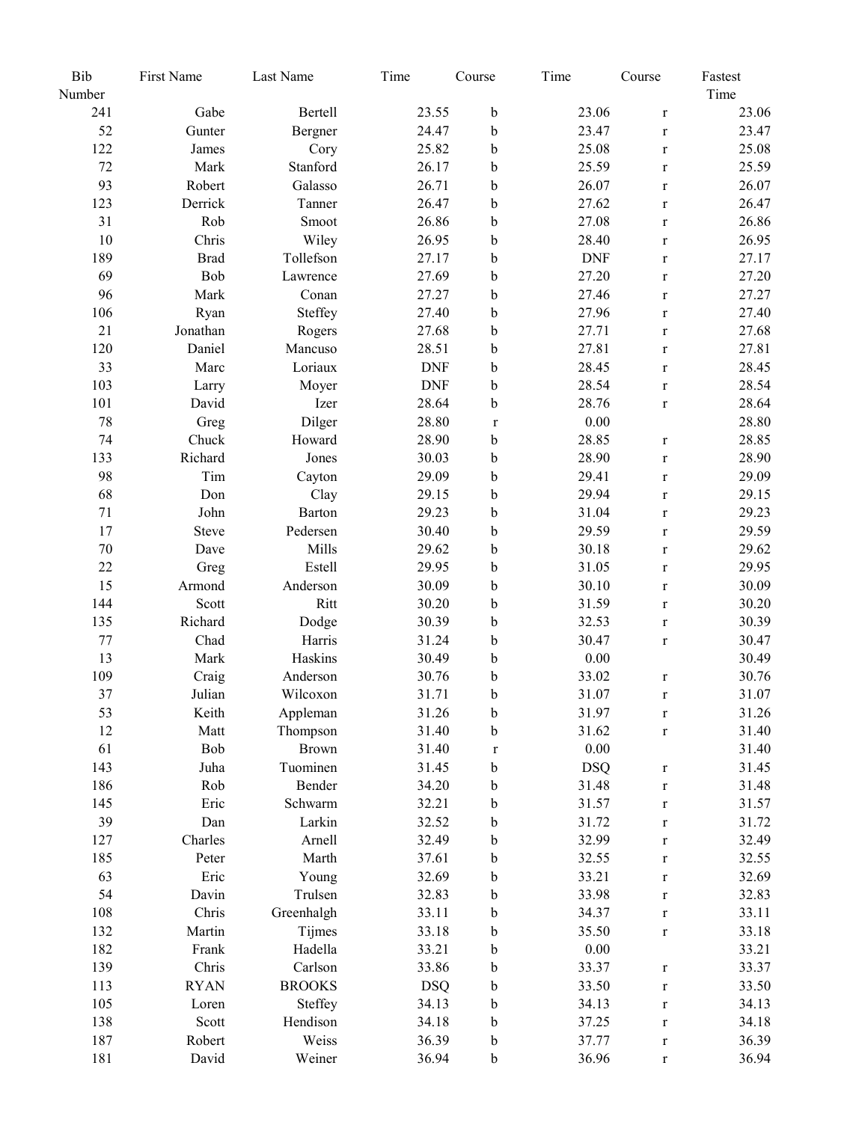| Bib      | First Name  | Last Name     | Time       | Course      | Time       | Course       | Fastest |
|----------|-------------|---------------|------------|-------------|------------|--------------|---------|
| Number   |             |               |            |             |            |              | Time    |
| 241      | Gabe        | Bertell       | 23.55      | $\mathbf b$ | 23.06      | $\bf r$      | 23.06   |
| 52       | Gunter      | Bergner       | 24.47      | $\mathbf b$ | 23.47      | $\mathbf r$  | 23.47   |
| 122      | James       | Cory          | 25.82      | b           | 25.08      | $\mathbf{r}$ | 25.08   |
| 72       | Mark        | Stanford      | 26.17      | $\mathbf b$ | 25.59      | $\mathbf r$  | 25.59   |
| 93       | Robert      | Galasso       | 26.71      | $\mathbf b$ | 26.07      | $\mathbf r$  | 26.07   |
| 123      | Derrick     | Tanner        | 26.47      | $\mathbf b$ | 27.62      | $\mathbf r$  | 26.47   |
| 31       | Rob         | Smoot         | 26.86      | $\mathbf b$ | 27.08      | $\mathbf r$  | 26.86   |
| 10       | Chris       | Wiley         | 26.95      | $\mathbf b$ | 28.40      | $\mathbf r$  | 26.95   |
| 189      | <b>Brad</b> | Tollefson     | 27.17      | $\mathbf b$ | <b>DNF</b> | $\mathbf r$  | 27.17   |
| 69       | Bob         | Lawrence      | 27.69      | $\mathbf b$ | 27.20      | $\mathbf{r}$ | 27.20   |
| 96       | Mark        | Conan         | 27.27      | $\mathbf b$ | 27.46      | $\mathbf r$  | 27.27   |
| 106      | Ryan        | Steffey       | 27.40      | $\bf b$     | 27.96      | $\mathbf r$  | 27.40   |
| 21       | Jonathan    | Rogers        | 27.68      | $\mathbf b$ | 27.71      | $\mathbf r$  | 27.68   |
| 120      | Daniel      | Mancuso       | 28.51      | $\mathbf b$ | 27.81      | $\mathbf r$  | 27.81   |
| 33       | Marc        | Loriaux       | <b>DNF</b> | $\mathbf b$ | 28.45      | $\mathbf r$  | 28.45   |
| 103      | Larry       | Moyer         | <b>DNF</b> | $\bf b$     | 28.54      | $\mathbf r$  | 28.54   |
| 101      | David       | Izer          | 28.64      | $\mathbf b$ | 28.76      | $\mathbf r$  | 28.64   |
| 78       | Greg        | Dilger        | 28.80      | $\mathbf r$ | 0.00       |              | 28.80   |
| 74       | Chuck       | Howard        | 28.90      | $\mathbf b$ | 28.85      | $\mathbf r$  | 28.85   |
| 133      | Richard     | Jones         | 30.03      | $\mathbf b$ | 28.90      | $\mathbf r$  | 28.90   |
| 98       | Tim         |               | 29.09      | $\mathbf b$ | 29.41      |              | 29.09   |
| 68       | Don         | Cayton        |            | $\mathbf b$ | 29.94      | $\mathbf r$  | 29.15   |
|          |             | Clay          | 29.15      |             |            | $\mathbf r$  | 29.23   |
| 71<br>17 | John        | Barton        | 29.23      | $\mathbf b$ | 31.04      | $\mathbf r$  |         |
|          | Steve       | Pedersen      | 30.40      | b           | 29.59      | $\mathbf r$  | 29.59   |
| $70\,$   | Dave        | Mills         | 29.62      | $\mathbf b$ | 30.18      | $\mathbf r$  | 29.62   |
| 22       | Greg        | Estell        | 29.95      | $\bf b$     | 31.05      | $\mathbf r$  | 29.95   |
| 15       | Armond      | Anderson      | 30.09      | $\mathbf b$ | 30.10      | $\mathbf r$  | 30.09   |
| 144      | Scott       | Ritt          | 30.20      | $\mathbf b$ | 31.59      | $\mathbf r$  | 30.20   |
| 135      | Richard     | Dodge         | 30.39      | $\mathbf b$ | 32.53      | $\mathbf r$  | 30.39   |
| 77       | Chad        | Harris        | 31.24      | $\mathbf b$ | 30.47      | $\mathbf r$  | 30.47   |
| 13       | Mark        | Haskins       | 30.49      | b           | 0.00       |              | 30.49   |
| 109      | Craig       | Anderson      | 30.76      | $\mathbf b$ | 33.02      | $\mathbf r$  | 30.76   |
| 37       | Julian      | Wilcoxon      | 31.71      | $\mathbf b$ | 31.07      | $\bf r$      | 31.07   |
| 53       | Keith       | Appleman      | 31.26      | $\mathbf b$ | 31.97      | $\mathbf r$  | 31.26   |
| 12       | Matt        | Thompson      | 31.40      | b           | 31.62      | $\mathbf r$  | 31.40   |
| 61       | Bob         | <b>Brown</b>  | 31.40      | $\mathbf r$ | 0.00       |              | 31.40   |
| 143      | Juha        | Tuominen      | 31.45      | b           | <b>DSQ</b> | $\mathbf r$  | 31.45   |
| 186      | Rob         | Bender        | 34.20      | b           | 31.48      | $\mathbf r$  | 31.48   |
| 145      | Eric        | Schwarm       | 32.21      | b           | 31.57      | $\mathbf r$  | 31.57   |
| 39       | Dan         | Larkin        | 32.52      | b           | 31.72      | $\mathbf r$  | 31.72   |
| 127      | Charles     | Arnell        | 32.49      | b           | 32.99      | $\mathbf r$  | 32.49   |
| 185      | Peter       | Marth         | 37.61      | b           | 32.55      | $\mathbf r$  | 32.55   |
| 63       | Eric        | Young         | 32.69      | b           | 33.21      | $\mathbf r$  | 32.69   |
| 54       | Davin       | Trulsen       | 32.83      | b           | 33.98      | $\mathbf r$  | 32.83   |
| 108      | Chris       | Greenhalgh    | 33.11      | b           | 34.37      | $\mathbf r$  | 33.11   |
| 132      | Martin      | Tijmes        | 33.18      | b           | 35.50      | $\mathbf r$  | 33.18   |
| 182      | Frank       | Hadella       | 33.21      | b           | 0.00       |              | 33.21   |
| 139      | Chris       | Carlson       | 33.86      | b           | 33.37      | $\mathbf r$  | 33.37   |
| 113      | <b>RYAN</b> | <b>BROOKS</b> | <b>DSQ</b> | b           | 33.50      | $\mathbf r$  | 33.50   |
| 105      | Loren       | Steffey       | 34.13      | b           | 34.13      | $\mathbf r$  | 34.13   |
| 138      | Scott       | Hendison      | 34.18      | b           | 37.25      | $\mathbf r$  | 34.18   |
| 187      | Robert      | Weiss         | 36.39      | $\mathbf b$ | 37.77      | $\mathbf r$  | 36.39   |
| 181      | David       | Weiner        | 36.94      | $\mathbf b$ | 36.96      | $\mathbf r$  | 36.94   |